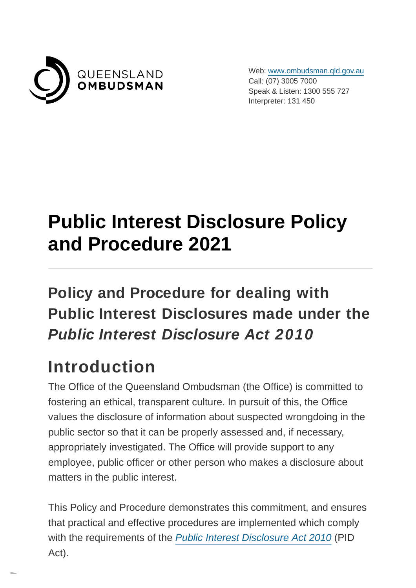

Web: [www.ombudsman.qld.gov.au](https://www.ombudsman.qld.gov.au/) Call: (07) 3005 7000 Speak & Listen: 1300 555 727 Interpreter: 131 450

# **Public Interest Disclosure Policy and Procedure 2021**

#### **Policy and Procedure for dealing with Public Interest Disclosures made under the Public Interest Disclosure Act 2010**

### **Introduction**

The Office of the Queensland Ombudsman (the Office) is committed to fostering an ethical, transparent culture. In pursuit of this, the Office values the disclosure of information about suspected wrongdoing in the public sector so that it can be properly assessed and, if necessary, appropriately investigated. The Office will provide support to any employee, public officer or other person who makes a disclosure about matters in the public interest.

This Policy and Procedure demonstrates this commitment, and ensures that practical and effective procedures are implemented which comply with the requirements of the [Public Interest Disclosure Act 2010](https://www.legislation.qld.gov.au/view/html/inforce/current/act-2010-038) (PID Act).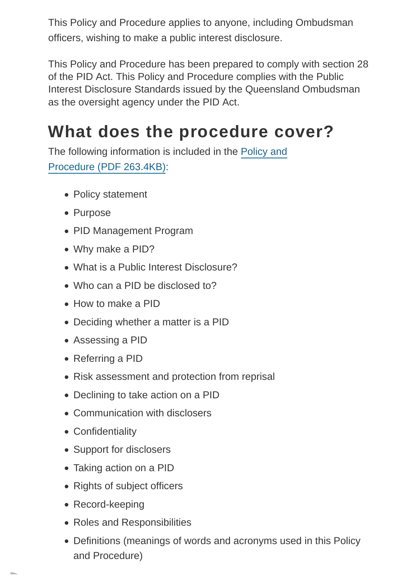This Policy and Procedure applies to anyone, including Ombudsman officers, wishing to make a public interest disclosure.

This Policy and Procedure has been prepared to comply with section 28 of the PID Act. This Policy and Procedure complies with the Public Interest Disclosure Standards issued by the Queensland Ombudsman as the oversight agency under the PID Act.

#### **What does the procedure cover?**

The follo[wing information is included in the Policy and](https://www.ombudsman.qld.gov.au/ArticleDocuments/483/Queensland_Ombudsman_Public_Interest_Disclosure_Procedure_2021_PUBLIC.pdf.aspx) Procedure (PDF 263.4KB):

- Policy statement
- Purpose
- PID Management Program
- Why make a PID?
- What is a Public Interest Disclosure?
- Who can a PID be disclosed to?
- How to make a PID
- Deciding whether a matter is a PID
- Assessing a PID
- Referring a PID
- Risk assessment and protection from reprisal
- Declining to take action on a PID
- Communication with disclosers
- Confidentiality
- Support for disclosers
- Taking action on a PID
- Rights of subject officers
- Record-keeping
- Roles and Responsibilities
- Definitions (meanings of words and acronyms used in this Policy and Procedure)